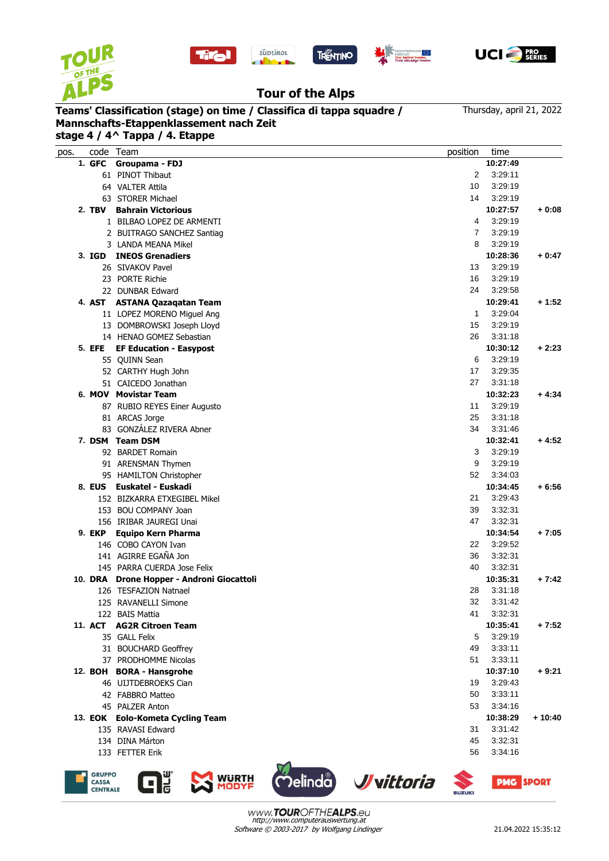







## **Tour of the Alps**

**Teams' Classification (stage) on time / Classifica di tappa squadre / Mannschafts-Etappenklassement nach Zeit**

Thursday, april 21, 2022

|               | code Team                                 | position       | time     |          |
|---------------|-------------------------------------------|----------------|----------|----------|
| 1. GFC        | Groupama - FDJ                            |                | 10:27:49 |          |
|               | 61 PINOT Thibaut                          | 2              | 3:29:11  |          |
|               | 64 VALTER Attila                          | 10             | 3:29:19  |          |
|               | 63 STORER Michael                         | 14             | 3:29:19  |          |
|               | 2. TBV Bahrain Victorious                 |                | 10:27:57 | $+0:08$  |
|               | 1 BILBAO LOPEZ DE ARMENTI                 | 4              | 3:29:19  |          |
|               | 2 BUITRAGO SANCHEZ Santiag                | $\overline{7}$ | 3:29:19  |          |
|               | 3 LANDA MEANA Mikel                       | 8              | 3:29:19  |          |
| 3. IGD        | <b>INEOS Grenadiers</b>                   |                | 10:28:36 | $+0:47$  |
|               | 26 SIVAKOV Pavel                          | 13             | 3:29:19  |          |
|               | 23 PORTE Richie                           | 16             | 3:29:19  |          |
|               | 22 DUNBAR Edward                          | 24             | 3:29:58  |          |
| 4. AST        | <b>ASTANA Qazaqatan Team</b>              |                | 10:29:41 | $+1:52$  |
|               | 11 LOPEZ MORENO Miguel Ang                | $\mathbf{1}$   | 3:29:04  |          |
|               | 13 DOMBROWSKI Joseph Lloyd                | 15             | 3:29:19  |          |
|               | 14 HENAO GOMEZ Sebastian                  | 26             | 3:31:18  |          |
| 5. EFE        | <b>EF Education - Easypost</b>            |                | 10:30:12 | $+2:23$  |
|               | 55 QUINN Sean                             | 6              | 3:29:19  |          |
|               | 52 CARTHY Hugh John                       | 17             | 3:29:35  |          |
|               | 51 CAICEDO Jonathan                       | 27             | 3:31:18  |          |
|               | 6. MOV Movistar Team                      |                | 10:32:23 | $+4:34$  |
|               |                                           | 11             | 3:29:19  |          |
|               | 87 RUBIO REYES Einer Augusto              |                |          |          |
|               | 81 ARCAS Jorge                            | 25             | 3:31:18  |          |
|               | 83 GONZÁLEZ RIVERA Abner                  | 34             | 3:31:46  |          |
|               | 7. DSM Team DSM                           |                | 10:32:41 | $+4:52$  |
|               | 92 BARDET Romain                          | 3              | 3:29:19  |          |
|               | 91 ARENSMAN Thymen                        | 9              | 3:29:19  |          |
|               | 95 HAMILTON Christopher                   | 52             | 3:34:03  |          |
|               | 8. EUS Euskatel - Euskadi                 |                | 10:34:45 | $+6:56$  |
|               | 152 BIZKARRA ETXEGIBEL Mikel              | 21             | 3:29:43  |          |
|               | 153 BOU COMPANY Joan                      | 39             | 3:32:31  |          |
|               | 156 IRIBAR JAUREGI Unai                   | 47             | 3:32:31  |          |
| <b>9. EKP</b> | <b>Equipo Kern Pharma</b>                 |                | 10:34:54 | $+7:05$  |
|               | 146 COBO CAYON Ivan                       | 22             | 3:29:52  |          |
|               | 141 AGIRRE EGAÑA Jon                      | 36             | 3:32:31  |          |
|               | 145 PARRA CUERDA Jose Felix               | 40             | 3:32:31  |          |
|               | 10. DRA Drone Hopper - Androni Giocattoli |                | 10:35:31 | + 7:42   |
|               | 126 TESFAZION Natnael                     | 28             | 3:31:18  |          |
|               | 125 RAVANELLI Simone                      | 32             | 3:31:42  |          |
|               | 122 BAIS Mattia                           | 41             | 3:32:31  |          |
|               | 11. ACT AG2R Citroen Team                 |                | 10:35:41 | $+7:52$  |
|               | 35 GALL Felix                             | 5              | 3:29:19  |          |
|               | 31 BOUCHARD Geoffrey                      | 49             | 3:33:11  |          |
|               | 37 PRODHOMME Nicolas                      | 51             | 3:33:11  |          |
|               | 12. BOH BORA - Hansgrohe                  |                | 10:37:10 | $+9:21$  |
|               | 46 UIJTDEBROEKS Cian                      | 19             | 3:29:43  |          |
|               | 42 FABBRO Matteo                          | 50             | 3:33:11  |          |
|               | 45 PALZER Anton                           | 53             | 3:34:16  |          |
|               | 13. EOK Eolo-Kometa Cycling Team          |                | 10:38:29 | $+10:40$ |
|               | 135 RAVASI Edward                         | 31             | 3:31:42  |          |
|               | 134 DINA Márton                           | 45             | 3:32:31  |          |
|               | 133 FETTER Erik                           | 56             | 3:34:16  |          |







**SUZUKI**